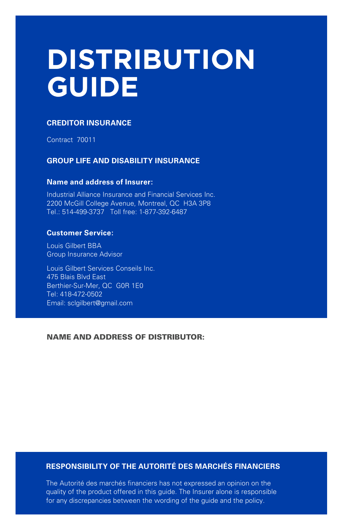# **DISTRIBUTION GUIDE**

#### **CREDITOR INSURANCE**

Contract 70011

#### **GROUP LIFE AND DISABILITY INSURANCE**

#### **Name and address of Insurer:**

Industrial Alliance Insurance and Financial Services Inc. 2200 McGill College Avenue, Montreal, QC H3A 3P8 Tel.: 514-499-3737 Toll free: 1-877-392-6487

#### **Customer Service:**

Louis Gilbert BBA Group Insurance Advisor

Louis Gilbert Services Conseils Inc. 475 Blais Blvd East Berthier-Sur-Mer, QC G0R 1E0 Tel: 418-472-0502 Email: sclgilbert@gmail.com

#### NAME AND ADDRESS OF DISTRIBUTOR:

## **RESPONSIBILITY OF THE AUTORITÉ DES MARCHÉS FINANCIERS**

The Autorité des marchés financiers has not expressed an opinion on the quality of the product offered in this guide. The Insurer alone is responsible for any discrepancies between the wording of the guide and the policy.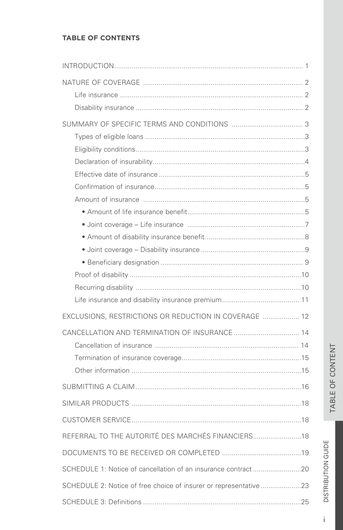## **TABLE OF CONTENTS**

| EXCLUSIONS, RESTRICTIONS OR REDUCTION IN COVERAGE  12            |  |
|------------------------------------------------------------------|--|
|                                                                  |  |
|                                                                  |  |
|                                                                  |  |
|                                                                  |  |
|                                                                  |  |
|                                                                  |  |
|                                                                  |  |
| REFERRAL TO THE AUTORITÉ DES MARCHÉS FINANCIERS 18               |  |
|                                                                  |  |
| SCHEDULE 1: Notice of cancellation of an insurance contract 20   |  |
| SCHEDULE 2: Notice of free choice of insurer or representative23 |  |
|                                                                  |  |

DISTRIBUTION GUIDE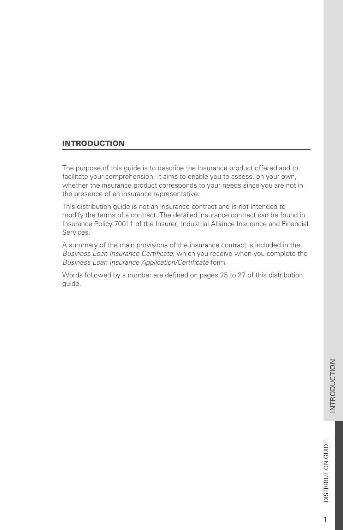1

## <span id="page-4-0"></span>INTRODUCTION

The purpose of this guide is to describe the insurance product offered and to facilitate your comprehension. It aims to enable you to assess, on your own, whether the insurance product corresponds to your needs since you are not in the presence of an insurance representative.

This distribution guide is not an insurance contract and is not intended to modify the terms of a contract. The detailed insurance contract can be found in Insurance Policy 70011 of the Insurer, Industrial Alliance Insurance and Financial Services.

A summary of the main provisions of the insurance contract is included in the *Business Loan Insurance Certificate*, which you receive when you complete the *Business Loan Insurance Application/Certificate* form.

Words followed by a number are defined on pages 25 to 27 of this distribution guide.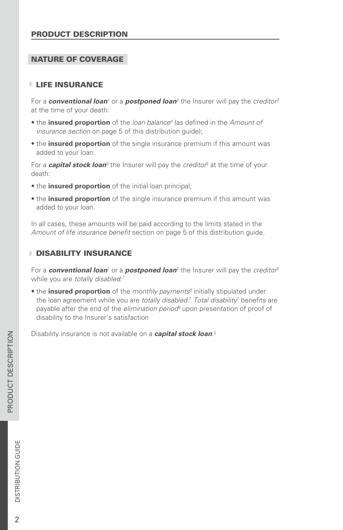### <span id="page-5-0"></span>PRODUCT DESCRIPTION

#### NATURE OF COVERAGE

#### **LIFE INSURANCE**

 $\epsilon$  For a  $\boldsymbol{c}$  *conventional loan<sup>1</sup>* or a  $\boldsymbol{p}$   $\boldsymbol{o}$   $\boldsymbol{s}$   $\boldsymbol{t}$   $\boldsymbol{p}$   $\boldsymbol{p}$   $\boldsymbol{a}$   $\boldsymbol{b}$   $\boldsymbol{r}$   $\boldsymbol{b}$   $\boldsymbol{r}$   $\boldsymbol{b}$   $\boldsymbol{r}$   $\boldsymbol{b}$   $\boldsymbol{r}$   $\boldsymbol{b}$   $\boldsymbol{r}$   $\boldsymbol{r}$   $\boldsymbol{b}$   $\boldsymbol{$ at the time of your death:

- the *insured proportion* of the *loan balance<sup>4</sup>* (as defined in the Amount of *insurance section* on page 5 of this distribution guide);
- the **insured proportion** of the single insurance premium if this amount was added to your loan.

For a **capital stock loan**<sup>5</sup> the Insurer will pay the *creditor*<sup>3</sup> at the time of your death:

- the **insured proportion** of the initial loan principal;
- the **insured proportion** of the single insurance premium if this amount was added to your loan.

In all cases, these amounts will be paid according to the limits stated in the *Amount of life insurance benefit* section on page 5 of this distribution guide.

#### **DISABILITY INSURANCE**

For a *conventional loan*' or a *postponed loan* $^2$  the Insurer will pay the *creditor* $^3$ while you are *totally disabled*: *7*

• the **insured proportion** of the *monthly payments<sup>6</sup>* initially stipulated under the loan agreement while you are *totally disabled.<sup>7</sup> Total disability*<sup>7</sup> benefits are payable after the end of the *elimination period*<sup>8</sup> upon presentation of proof of disability to the Insurer's satisfaction

Disability insurance is not available on a *capital stock loan*. 5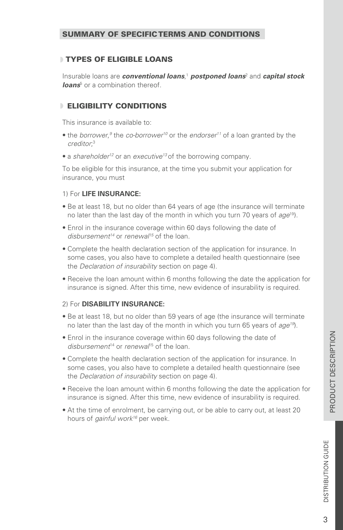## <span id="page-6-0"></span>TYPES OF ELIGIBLE LOANS

Insurable loans are **conventional loans**,<sup>1</sup> **postponed loans**<sup>2</sup> and **capital stock loans**<sup>5</sup> or a combination thereof.

## ELIGIBILITY CONDITIONS

This insurance is available to:

- the *borrower*,<sup>9</sup> the *co-borrower<sup>10</sup>* or the *endorser<sup>11</sup>* of a loan granted by the *creditor*; 3
- a *shareholder12* or an *executive13* of the borrowing company.

To be eligible for this insurance, at the time you submit your application for insurance, you must

#### 1) For **LIFE INSURANCE:**

- Be at least 18, but no older than 64 years of age (the insurance will terminate no later than the last day of the month in which you turn 70 years of age<sup>19</sup>).
- Enrol in the insurance coverage within 60 days following the date of *disbursement14* or *renewal15* of the loan.
- Complete the health declaration section of the application for insurance. In some cases, you also have to complete a detailed health questionnaire (see the *Declaration of insurability* section on page 4).
- Receive the loan amount within 6 months following the date the application for insurance is signed. After this time, new evidence of insurability is required.

#### 2) For **DISABILITY INSURANCE:**

- Be at least 18, but no older than 59 years of age (the insurance will terminate no later than the last day of the month in which you turn 65 years of *age19*).
- Enrol in the insurance coverage within 60 days following the date of disbursement<sup>14</sup> or *renewal*<sup>15</sup> of the loan.
- Complete the health declaration section of the application for insurance. In some cases, you also have to complete a detailed health questionnaire (see the *Declaration of insurability* section on page 4).
- Receive the loan amount within 6 months following the date the application for insurance is signed. After this time, new evidence of insurability is required.
- At the time of enrolment, be carrying out, or be able to carry out, at least 20 hours of *gainful work16* per week.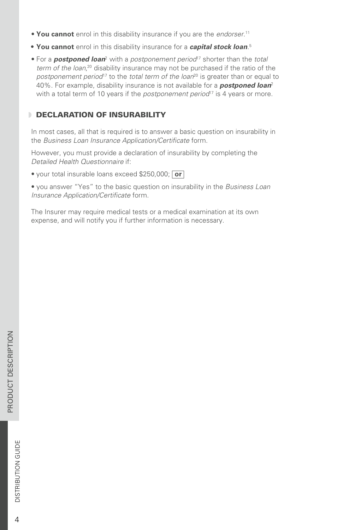- <span id="page-7-0"></span>• **You cannot** enrol in this disability insurance if you are the *endorser*. 11
- **• You cannot** enrol in this disability insurance for a *capital stock loan*. 5
- For a **postponed loan**<sup>2</sup> with a postponement period<sup>17</sup> shorter than the total term of the loan,<sup>20</sup> disability insurance may not be purchased if the ratio of the postponement period<sup>17</sup> to the *total term of the loan*<sup>20</sup> is greater than or equal to 40%. For example, disability insurance is not available for a *postponed loan* 2 with a total term of 10 years if the *postponement period*<sup>17</sup> is 4 years or more.

## **DECLARATION OF INSURABILITY**

In most cases, all that is required is to answer a basic question on insurability in the *Business Loan Insurance Application/Certificate* form.

However, you must provide a declaration of insurability by completing the *Detailed Health Questionnaire* if:

• your total insurable loans exceed \$250,000; **or**

• you answer "Yes" to the basic question on insurability in the *Business Loan Insurance Application/Certificate* form.

The Insurer may require medical tests or a medical examination at its own expense, and will notify you if further information is necessary.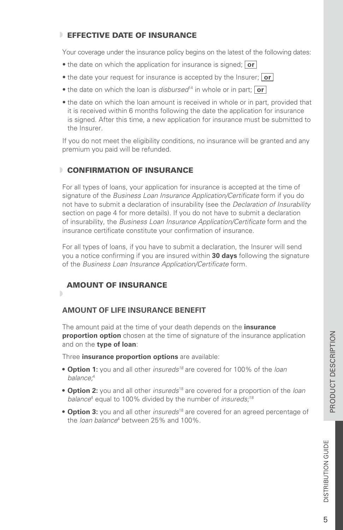## <span id="page-8-0"></span>**EFFECTIVE DATE OF INSURANCE**

Your coverage under the insurance policy begins on the latest of the following dates:

- the date on which the application for insurance is signed; **or**
- the date your request for insurance is accepted by the Insurer; **or**
- the date on which the loan is *disbursed*<sup>14</sup> in whole or in part; **or**
- the date on which the loan amount is received in whole or in part, provided that it is received within 6 months following the date the application for insurance is signed. After this time, a new application for insurance must be submitted to the Insurer.

If you do not meet the eligibility conditions, no insurance will be granted and any premium you paid will be refunded.

## **CONFIRMATION OF INSURANCE**

For all types of loans, your application for insurance is accepted at the time of signature of the *Business Loan Insurance Application/Certificate* form if you do not have to submit a declaration of insurability (see the *Declaration of Insurability* section on page 4 for more details). If you do not have to submit a declaration of insurability, the *Business Loan Insurance Application/Certificate* form and the insurance certificate constitute your confirmation of insurance.

For all types of loans, if you have to submit a declaration, the Insurer will send you a notice confirming if you are insured within **30 days** following the signature of the *Business Loan Insurance Application/Certificate* form.

## AMOUNT OF INSURANCE

## b.

## **AMOUNT OF LIFE INSURANCE BENEFIT**

The amount paid at the time of your death depends on the **insurance proportion option** chosen at the time of signature of the insurance application and on the **type of loan**:

Three **insurance proportion options** are available:

- **• Option 1:** you and all other *insureds18* are covered for 100% of the *loan balance;* 4
- **Option 2:** you and all other *insureds*<sup>18</sup> are covered for a proportion of the *loan* balance<sup>4</sup> equal to 100% divided by the number of *insureds*;<sup>18</sup>
- **Option 3:** you and all other *insureds*<sup>18</sup> are covered for an agreed percentage of the *loan balance*<sup>4</sup> between 25% and 100%.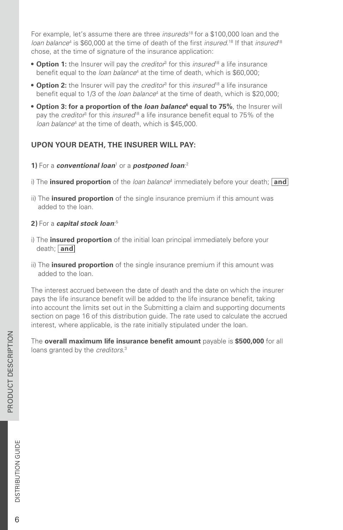For example, let's assume there are three *insureds*<sup>18</sup> for a \$100,000 loan and the loan balance<sup>4</sup> is \$60,000 at the time of death of the first *insured*.<sup>18</sup> If that *insured*<sup>18</sup> chose, at the time of signature of the insurance application:

- **Option 1:** the Insurer will pay the *creditor*<sup>3</sup> for this *insured*<sup>18</sup> a life insurance benefit equal to the *loan balance*<sup>4</sup> at the time of death, which is \$60,000;
- **Option 2:** the Insurer will pay the *creditor*<sup>3</sup> for this *insured*<sup>18</sup> a life insurance benefit equal to 1/3 of the *loan balance*<sup>4</sup> at the time of death, which is \$20,000;
- **•** Option 3: for a proportion of the *loan balance*<sup>4</sup> equal to 75%, the Insurer will pay the *creditor*<sup>3</sup> for this *insured*<sup>18</sup> a life insurance benefit equal to 75% of the loan balance<sup>4</sup> at the time of death, which is \$45,000.

## **UPON YOUR DEATH, THE INSURER WILL PAY:**

#### **1)** For a **conventional loan<sup>1</sup> or a** *postponed loan*:<sup>2</sup>

- i) The **insured proportion** of the *loan balance*<sup>4</sup> immediately before your death; **and**
- ii) The **insured proportion** of the single insurance premium if this amount was added to the loan.

#### **2)** For a *capital stock loan*: 5

- i) The **insured proportion** of the initial loan principal immediately before your death; **and**
- ii) The **insured proportion** of the single insurance premium if this amount was added to the loan.

The interest accrued between the date of death and the date on which the insurer pays the life insurance benefit will be added to the life insurance benefit, taking into account the limits set out in the Submitting a claim and supporting documents section on page 16 of this distribution guide. The rate used to calculate the accrued interest, where applicable, is the rate initially stipulated under the loan.

The **overall maximum life insurance benefit amount** payable is **\$500,000** for all loans granted by the *creditors*. 3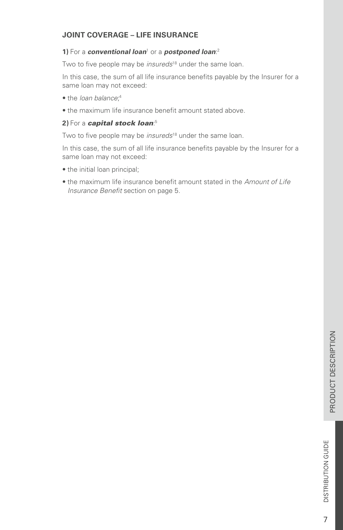## <span id="page-10-0"></span>**JOINT COVERAGE – LIFE INSURANCE**

#### **1)** For a **conventional loan<sup>1</sup> or a** *postponed loan*:<sup>2</sup>

Two to five people may be *insureds*<sup>18</sup> under the same loan.

In this case, the sum of all life insurance benefits payable by the Insurer for a same loan may not exceed:

- the *loan balance*; 4
- the maximum life insurance benefit amount stated above.

#### **2)** For a *capital stock loan*: 5

Two to five people may be *insureds*<sup>18</sup> under the same loan.

In this case, the sum of all life insurance benefits payable by the Insurer for a same loan may not exceed:

- the initial loan principal;
- the maximum life insurance benefit amount stated in the *Amount of Life Insurance Benefit* section on page 5.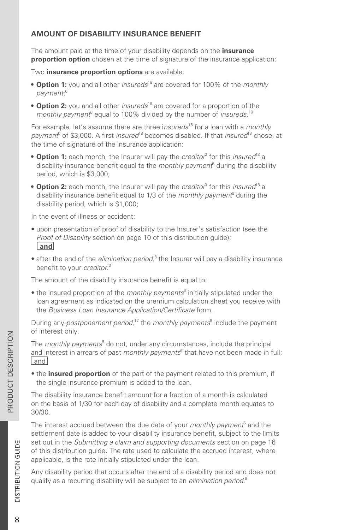## <span id="page-11-0"></span>**AMOUNT OF DISABILITY INSURANCE BENEFIT**

The amount paid at the time of your disability depends on the **insurance proportion option** chosen at the time of signature of the insurance application:

Two **insurance proportion options** are available:

- Option 1: you and all other *insureds*<sup>18</sup> are covered for 100% of the *monthly payment*; 6
- Option 2: you and all other *insureds*<sup>18</sup> are covered for a proportion of the monthly payment<sup>6</sup> equal to 100% divided by the number of *insureds*.<sup>18</sup>

For example, let's assume there are three insureds<sup>18</sup> for a loan with a *monthly* payment<sup>6</sup> of \$3,000. A first *insured*<sup>18</sup> becomes disabled. If that *insured*<sup>18</sup> chose, at the time of signature of the insurance application:

- **Option 1:** each month, the Insurer will pay the *creditor*<sup>3</sup> for this *insured*<sup>18</sup> a disability insurance benefit equal to the *monthly payment*<sup>6</sup> during the disability period, which is \$3,000;
- **Option 2:** each month, the Insurer will pay the *creditor*<sup>3</sup> for this *insured*<sup>18</sup> a disability insurance benefit equal to 1/3 of the *monthly payment*<sup>6</sup> during the disability period, which is \$1,000;

In the event of illness or accident:

- upon presentation of proof of disability to the Insurer's satisfaction (see the *Proof of Disability* section on page 10 of this distribution guide); **and**
- after the end of the *elimination period*,<sup>8</sup> the Insurer will pay a disability insurance benefit to your *creditor*. 3

The amount of the disability insurance benefit is equal to:

• the insured proportion of the *monthly payments*<sup>6</sup> initially stipulated under the loan agreement as indicated on the premium calculation sheet you receive with the *Business Loan Insurance Application/Certificate* form.

During any *postponement period*,<sup>17</sup> the *monthly payments*<sup>6</sup> include the payment of interest only.

The *monthly payments*<sup>6</sup> do not, under any circumstances, include the principal and interest in arrears of past *monthly payments*<sup>6</sup> that have not been made in full; and

• the **insured proportion** of the part of the payment related to this premium, if the single insurance premium is added to the loan.

The disability insurance benefit amount for a fraction of a month is calculated on the basis of 1/30 for each day of disability and a complete month equates to 30/30.

The interest accrued between the due date of your *monthly payment*<sup>6</sup> and the settlement date is added to your disability insurance benefit, subject to the limits set out in the *Submitting a claim and supporting documents* section on page 16 of this distribution guide. The rate used to calculate the accrued interest, where applicable, is the rate initially stipulated under the loan.

Any disability period that occurs after the end of a disability period and does not qualify as a recurring disability will be subject to an *elimination period*. 8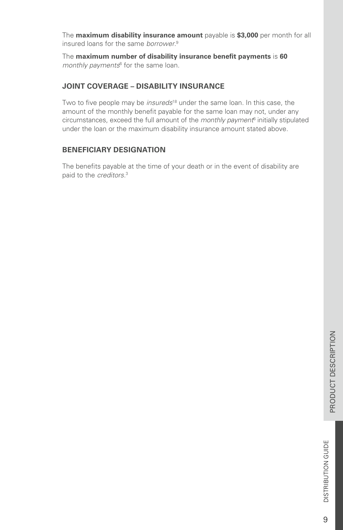<span id="page-12-0"></span>The **maximum disability insurance amount** payable is **\$3,000** per month for all insured loans for the same *borrower*. 9

The **maximum number of disability insurance benefit payments** is **60** monthly payments<sup>6</sup> for the same loan.

### **JOINT COVERAGE – DISABILITY INSURANCE**

Two to five people may be *insureds*<sup>18</sup> under the same loan. In this case, the amount of the monthly benefit payable for the same loan may not, under any circumstances, exceed the full amount of the *monthly payment*<sup>6</sup> initially stipulated under the loan or the maximum disability insurance amount stated above.

#### **BENEFICIARY DESIGNATION**

The benefits payable at the time of your death or in the event of disability are paid to the *creditors*. 3

9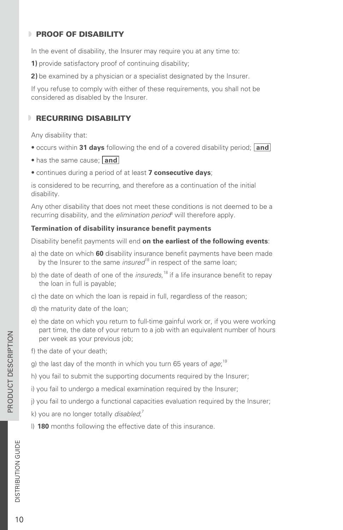## <span id="page-13-0"></span>**PROOF OF DISABILITY**

In the event of disability, the Insurer may require you at any time to:

**1)** provide satisfactory proof of continuing disability;

**2)** be examined by a physician or a specialist designated by the Insurer.

If you refuse to comply with either of these requirements, you shall not be considered as disabled by the Insurer.

## **RECURRING DISABILITY**

Any disability that:

- occurs within **31 days** following the end of a covered disability period; **and**
- has the same cause;  $|$  and
- continues during a period of at least **7 consecutive days**;

is considered to be recurring, and therefore as a continuation of the initial disability.

Any other disability that does not meet these conditions is not deemed to be a recurring disability, and the *elimination period*<sup>8</sup> will therefore apply.

#### **Termination of disability insurance benefit payments**

Disability benefit payments will end **on the earliest of the following events**:

- a) the date on which **60** disability insurance benefit payments have been made by the Insurer to the same *insured*<sup>18</sup> in respect of the same loan;
- b) the date of death of one of the *insureds*,<sup>18</sup> if a life insurance benefit to repay the loan in full is payable;
- c) the date on which the loan is repaid in full, regardless of the reason;
- d) the maturity date of the loan;
- e) the date on which you return to full-time gainful work or, if you were working part time, the date of your return to a job with an equivalent number of hours per week as your previous job;
- f) the date of your death;
- g) the last day of the month in which you turn 65 years of *age*; 19
- h) you fail to submit the supporting documents required by the Insurer;
- i) you fail to undergo a medical examination required by the Insurer;

j) you fail to undergo a functional capacities evaluation required by the Insurer;

k) you are no longer totally *disabled*; 7

l) **180** months following the effective date of this insurance.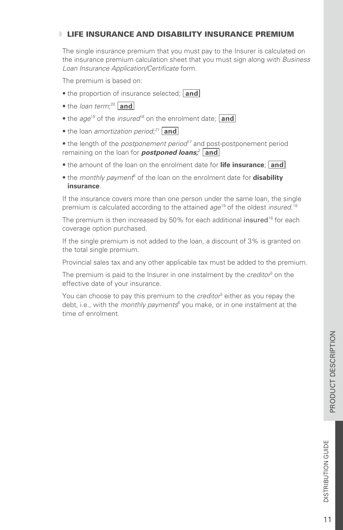## <span id="page-14-0"></span>LIFE INSURANCE AND DISABILITY INSURANCE PREMIUM

The single insurance premium that you must pay to the Insurer is calculated on the insurance premium calculation sheet that you must sign along with *Business Loan Insurance Application/Certificate* form.

The premium is based on:

- the proportion of insurance selected; **and**
- the *loan term*;<sup>20</sup> and
- the *age*<sup>19</sup> of the *insured*<sup>18</sup> on the enrolment date; **and**
- the loan *amortization period*; *<sup>21</sup>* **and**

• the length of the *postponement period*<sup>17</sup> and post-postponement period remaining on the loan for *postponed loans;*<sup>2</sup> and

- the amount of the loan on the enrolment date for **life insurance**; **and**
- the *monthly payment*<sup>6</sup> of the loan on the enrolment date for **disability insurance**.

If the insurance covers more than one person under the same loan, the single premium is calculated according to the attained *age*<sup>19</sup> of the oldest *insured*.<sup>18</sup>

The premium is then increased by 50% for each additional insured<sup>18</sup> for each coverage option purchased.

If the single premium is not added to the loan, a discount of 3% is granted on the total single premium.

Provincial sales tax and any other applicable tax must be added to the premium.

The premium is paid to the Insurer in one instalment by the *creditor*<sup>3</sup> on the effective date of your insurance.

You can choose to pay this premium to the *creditor*<sup>3</sup> either as you repay the debt, i.e., with the *monthly payments*<sup>6</sup> you make, or in one instalment at the time of enrolment.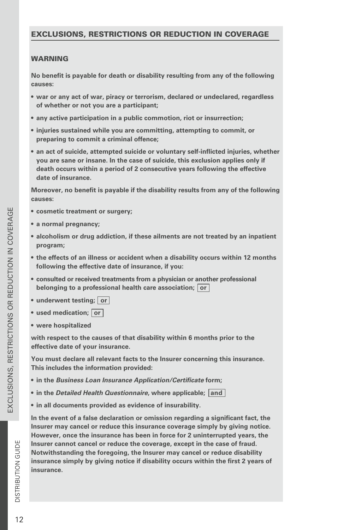#### <span id="page-15-0"></span>EXCLUSIONS, RESTRICTIONS OR REDUCTION IN COVERAGE

#### **WARNING**

**No benefit is payable for death or disability resulting from any of the following causes:**

- **• war or any act of war, piracy or terrorism, declared or undeclared, regardless of whether or not you are a participant;**
- **• any active participation in a public commotion, riot or insurrection;**
- **• injuries sustained while you are committing, attempting to commit, or preparing to commit a criminal offence;**
- **• an act of suicide, attempted suicide or voluntary self-inflicted injuries, whether you are sane or insane. In the case of suicide, this exclusion applies only if death occurs within a period of 2 consecutive years following the effective date of insurance.**

**Moreover, no benefit is payable if the disability results from any of the following causes:**

- **• cosmetic treatment or surgery;**
- **• a normal pregnancy;**
- **• alcoholism or drug addiction, if these ailments are not treated by an inpatient program;**
- **• the effects of an illness or accident when a disability occurs within 12 months following the effective date of insurance, if you:**
- **• consulted or received treatments from a physician or another professional belonging to a professional health care association; or**
- underwent testing; or
- **• used medication; or**
- **• were hospitalized**

**with respect to the causes of that disability within 6 months prior to the effective date of your insurance.**

**You must declare all relevant facts to the Insurer concerning this insurance. This includes the information provided:**

- **• in the** *Business Loan Insurance Application/Certificate* **form;**
- **• in the** *Detailed Health Questionnaire***, where applicable; and**
- **• in all documents provided as evidence of insurability.**

**In the event of a false declaration or omission regarding a significant fact, the Insurer may cancel or reduce this insurance coverage simply by giving notice. However, once the insurance has been in force for 2 uninterrupted years, the Insurer cannot cancel or reduce the coverage, except in the case of fraud. Notwithstanding the foregoing, the Insurer may cancel or reduce disability insurance simply by giving notice if disability occurs within the first 2 years of insurance.**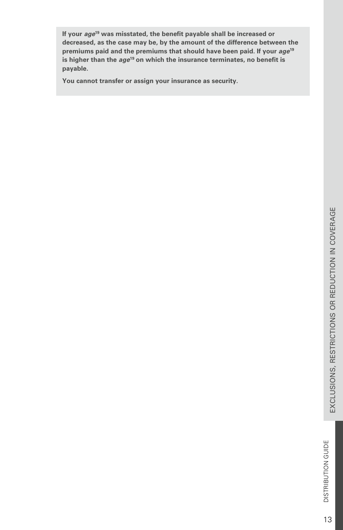If your *age*<sup>19</sup> was misstated, the benefit payable shall be increased or **decreased, as the case may be, by the amount of the difference between the premiums paid and the premiums that should have been paid. If your** *age* **19**is higher than the *age*<sup>19</sup> on which the insurance terminates, no benefit is **payable.**

**You cannot transfer or assign your insurance as security.**

13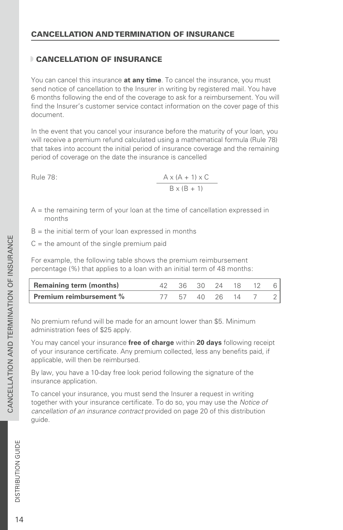## <span id="page-17-0"></span>CANCELLATION OF INSURANCE

You can cancel this insurance **at any time**. To cancel the insurance, you must send notice of cancellation to the Insurer in writing by registered mail. You have 6 months following the end of the coverage to ask for a reimbursement. You will find the Insurer's customer service contact information on the cover page of this document.

In the event that you cancel your insurance before the maturity of your loan, you will receive a premium refund calculated using a mathematical formula (Rule 78) that takes into account the initial period of insurance coverage and the remaining period of coverage on the date the insurance is cancelled

Rule 78:

ule 78: 
$$
\frac{A \times (A + 1) \times C}{B \times (B + 1)}
$$

- $A =$  the remaining term of your loan at the time of cancellation expressed in months
- $B =$  the initial term of your loan expressed in months
- $C =$  the amount of the single premium paid

For example, the following table shows the premium reimbursement percentage (%) that applies to a loan with an initial term of 48 months:

| <b>Remaining term (months)</b> |          | 36 30 24 18 |  |  |
|--------------------------------|----------|-------------|--|--|
| <b>Premium reimbursement %</b> | 57 40 26 |             |  |  |

No premium refund will be made for an amount lower than \$5. Minimum administration fees of \$25 apply.

You may cancel your insurance **free of charge** within **20 days** following receipt of your insurance certificate. Any premium collected, less any benefits paid, if applicable, will then be reimbursed.

By law, you have a 10-day free look period following the signature of the insurance application.

To cancel your insurance, you must send the Insurer a request in writing together with your insurance certificate. To do so, you may use the *Notice of cancellation of an insurance contract* provided on page 20 of this distribution guide.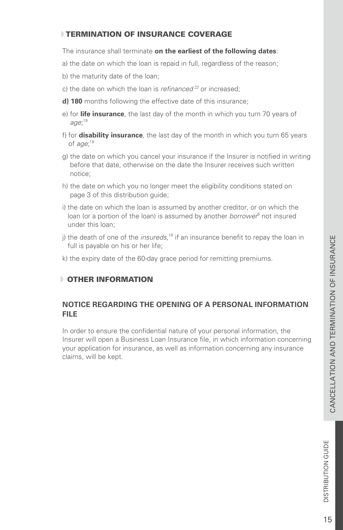## <span id="page-18-0"></span>TERMINATION OF INSURANCE COVERAGE

The insurance shall terminate **on the earliest of the following dates**:

- a) the date on which the loan is repaid in full, regardless of the reason;
- b) the maturity date of the loan;
- c) the date on which the loan is *refinanced 22* or increased;
- **d) 180** months following the effective date of this insurance;
- e) for **life insurance**, the last day of the month in which you turn 70 years of *age*; 19
- f) for **disability insurance**, the last day of the month in which you turn 65 years of *age*; 19
- g) the date on which you cancel your insurance if the Insurer is notified in writing before that date, otherwise on the date the Insurer receives such written notice;
- h) the date on which you no longer meet the eligibility conditions stated on page 3 of this distribution guide;
- i) the date on which the loan is assumed by another creditor, or on which the loan (or a portion of the loan) is assumed by another *borrower*<sup>9</sup> not insured under this loan;
- j) the death of one of the *insureds*,<sup>18</sup> if an insurance benefit to repay the loan in full is payable on his or her life;
- k) the expiry date of the 60-day grace period for remitting premiums.

## **DI OTHER INFORMATION**

## **NOTICE REGARDING THE OPENING OF A PERSONAL INFORMATION FILE**

In order to ensure the confidential nature of your personal information, the Insurer will open a Business Loan Insurance file, in which information concerning your application for insurance, as well as information concerning any insurance claims, will be kept.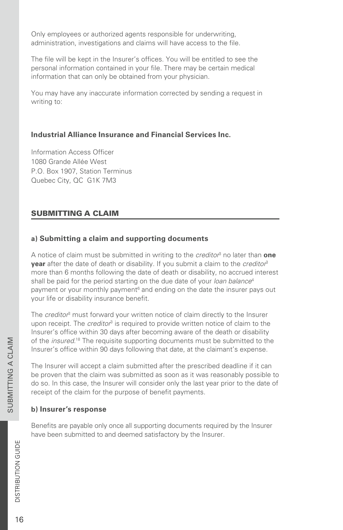<span id="page-19-0"></span>Only employees or authorized agents responsible for underwriting, administration, investigations and claims will have access to the file.

The file will be kept in the Insurer's offices. You will be entitled to see the personal information contained in your file. There may be certain medical information that can only be obtained from your physician.

You may have any inaccurate information corrected by sending a request in writing to:

#### **Industrial Alliance Insurance and Financial Services Inc.**

Information Access Officer 1080 Grande Allée West P.O. Box 1907, Station Terminus Quebec City, QC G1K 7M3

## SUBMITTING A CLAIM

## **a) Submitting a claim and supporting documents**

A notice of claim must be submitted in writing to the *creditor*<sup>3</sup> no later than one **year** after the date of death or disability. If you submit a claim to the *creditor* 3 more than 6 months following the date of death or disability, no accrued interest shall be paid for the period starting on the due date of your *loan balance* 4 payment or your monthly payment<sup>6</sup> and ending on the date the insurer pays out your life or disability insurance benefit.

The *creditor*<sup>3</sup> must forward your written notice of claim directly to the Insurer upon receipt. The *creditor*<sup>3</sup> is required to provide written notice of claim to the Insurer's office within 30 days after becoming aware of the death or disability of the *insured*.<sup>18</sup> The requisite supporting documents must be submitted to the Insurer's office within 90 days following that date, at the claimant's expense.

The Insurer will accept a claim submitted after the prescribed deadline if it can be proven that the claim was submitted as soon as it was reasonably possible to do so. In this case, the Insurer will consider only the last year prior to the date of receipt of the claim for the purpose of benefit payments.

#### **b) Insurer's response**

Benefits are payable only once all supporting documents required by the Insurer have been submitted to and deemed satisfactory by the Insurer.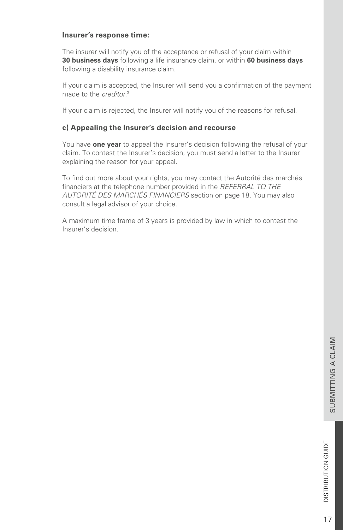#### **Insurer's response time:**

The insurer will notify you of the acceptance or refusal of your claim within **30 business days** following a life insurance claim, or within **60 business days** following a disability insurance claim.

If your claim is accepted, the Insurer will send you a confirmation of the payment made to the *creditor*. 3

If your claim is rejected, the Insurer will notify you of the reasons for refusal.

### **c) Appealing the Insurer's decision and recourse**

You have **one year** to appeal the Insurer's decision following the refusal of your claim. To contest the Insurer's decision, you must send a letter to the Insurer explaining the reason for your appeal.

To find out more about your rights, you may contact the Autorité des marchés financiers at the telephone number provided in the *REFERRAL TO THE AUTORITÉ DES MARCHÉS FINANCIERS* section on page 18. You may also consult a legal advisor of your choice.

A maximum time frame of 3 years is provided by law in which to contest the Insurer's decision.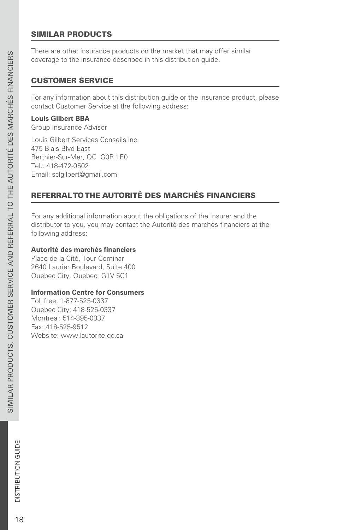## <span id="page-21-0"></span>SIMILAR PRODUCTS

There are other insurance products on the market that may offer similar coverage to the insurance described in this distribution guide.

#### CUSTOMER SERVICE

For any information about this distribution guide or the insurance product, please contact Customer Service at the following address:

#### **Louis Gilbert BBA**

Group Insurance Advisor

Louis Gilbert Services Conseils inc. 475 Blais Blvd East Berthier-Sur-Mer, QC G0R 1E0 Tel.: 418-472-0502 Email: [sclgilbert@gmail.com](mailto:sclgilbert%40gmail.com?subject=)

## REFERRAL TO THE AUTORITÉ DES MARCHÉS FINANCIERS

For any additional information about the obligations of the Insurer and the distributor to you, you may contact the Autorité des marchés financiers at the following address:

#### **Autorité des marchés financiers**

Place de la Cité, Tour Cominar 2640 Laurier Boulevard, Suite 400 Quebec City, Quebec G1V 5C1

#### **Information Centre for Consumers**

Toll free: 1-877-525-0337 Quebec City: 418-525-0337 Montreal: 514-395-0337 Fax: 418-525-9512 Website: [www.lautorite.qc.ca](http://www.lautorite.qc.ca)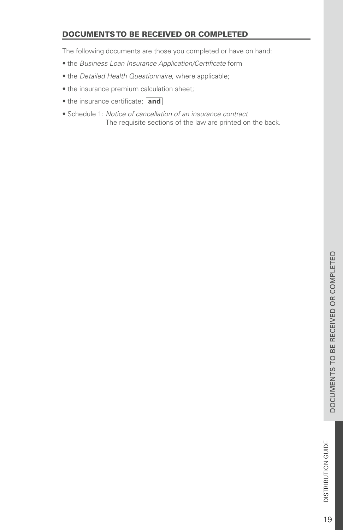## <span id="page-22-0"></span>DOCUMENTS TO BE RECEIVED OR COMPLETED

The following documents are those you completed or have on hand:

- the *Business Loan Insurance Application/Certificate* form
- the *Detailed Health Questionnaire*, where applicable;
- the insurance premium calculation sheet;
- the insurance certificate; and
- Schedule 1: *Notice of cancellation of an insurance contract* The requisite sections of the law are printed on the back.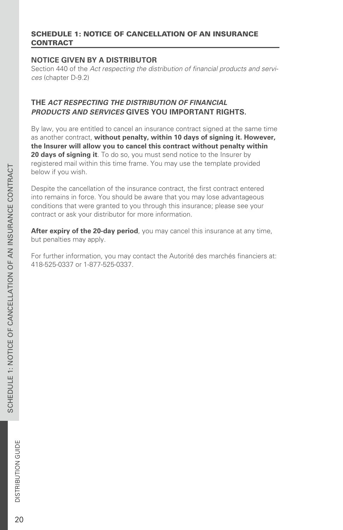#### <span id="page-23-0"></span>SCHEDULE 1: NOTICE OF CANCELLATION OF AN INSURANCE **CONTRACT**

## **NOTICE GIVEN BY A DISTRIBUTOR.**

Section 440 of the *Act respecting the distribution of financial products and services* (chapter D-9.2)

## **THE** *ACT RESPECTING THE DISTRIBUTION OF FINANCIAL PRODUCTS AND SERVICES* **GIVES YOU IMPORTANT RIGHTS.**

By law, you are entitled to cancel an insurance contract signed at the same time as another contract, **without penalty, within 10 days of signing it. However, the Insurer will allow you to cancel this contract without penalty within 20 days of signing it**. To do so, you must send notice to the Insurer by registered mail within this time frame. You may use the template provided below if you wish.

Despite the cancellation of the insurance contract, the first contract entered into remains in force. You should be aware that you may lose advantageous conditions that were granted to you through this insurance; please see your contract or ask your distributor for more information.

After expiry of the 20-day period, you may cancel this insurance at any time, but penalties may apply.

For further information, you may contact the Autorité des marchés financiers at: 418-525-0337 or 1-877-525-0337.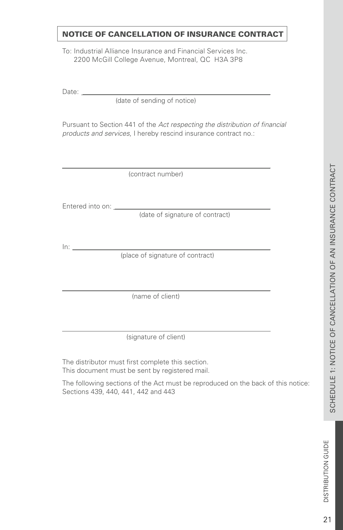## NOTICE OF CANCELLATION OF INSURANCE CONTRACT

To: Industrial Alliance Insurance and Financial Services Inc. 2200 McGill College Avenue, Montreal, QC H3A 3P8

Date:

(date of sending of notice)

Pursuant to Section 441 of the *Act respecting the distribution of financial products and services*, I hereby rescind insurance contract no.:

(contract number)

Entered into on:

(date of signature of contract)

In:

(place of signature of contract)

(name of client)

(signature of client)

The distributor must first complete this section. This document must be sent by registered mail.

The following sections of the Act must be reproduced on the back of this notice: Sections 439, 440, 441, 442 and 443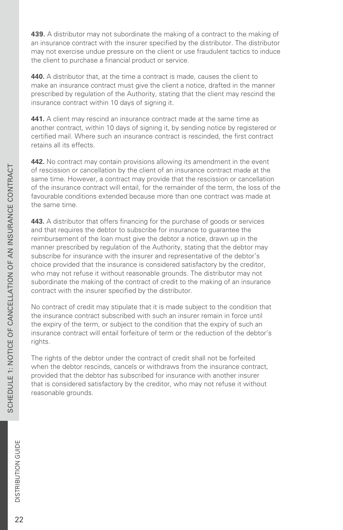**439.** A distributor may not subordinate the making of a contract to the making of an insurance contract with the insurer specified by the distributor. The distributor may not exercise undue pressure on the client or use fraudulent tactics to induce the client to purchase a financial product or service.

**440.** A distributor that, at the time a contract is made, causes the client to make an insurance contract must give the client a notice, drafted in the manner prescribed by regulation of the Authority, stating that the client may rescind the insurance contract within 10 days of signing it.

**441.** A client may rescind an insurance contract made at the same time as another contract, within 10 days of signing it, by sending notice by registered or certified mail. Where such an insurance contract is rescinded, the first contract retains all its effects.

**442.** No contract may contain provisions allowing its amendment in the event of rescission or cancellation by the client of an insurance contract made at the same time. However, a contract may provide that the rescission or cancellation of the insurance contract will entail, for the remainder of the term, the loss of the favourable conditions extended because more than one contract was made at the same time.

**443.** A distributor that offers financing for the purchase of goods or services and that requires the debtor to subscribe for insurance to guarantee the reimbursement of the loan must give the debtor a notice, drawn up in the manner prescribed by regulation of the Authority, stating that the debtor may subscribe for insurance with the insurer and representative of the debtor's choice provided that the insurance is considered satisfactory by the creditor, who may not refuse it without reasonable grounds. The distributor may not subordinate the making of the contract of credit to the making of an insurance contract with the insurer specified by the distributor.

No contract of credit may stipulate that it is made subject to the condition that the insurance contract subscribed with such an insurer remain in force until the expiry of the term, or subject to the condition that the expiry of such an insurance contract will entail forfeiture of term or the reduction of the debtor's rights.

The rights of the debtor under the contract of credit shall not be forfeited when the debtor rescinds, cancels or withdraws from the insurance contract, provided that the debtor has subscribed for insurance with another insurer that is considered satisfactory by the creditor, who may not refuse it without reasonable grounds.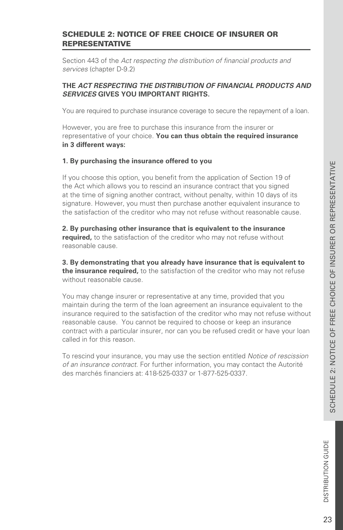## <span id="page-26-0"></span>SCHEDULE 2: NOTICE OF FREE CHOICE OF INSURER OR REPRESENTATIVE

Section 443 of the *Act respecting the distribution of financial products and services* (chapter D-9.2)

#### **THE** *ACT RESPECTING THE DISTRIBUTION OF FINANCIAL PRODUCTS AND SERVICES* **GIVES YOU IMPORTANT RIGHTS.**

You are required to purchase insurance coverage to secure the repayment of a loan.

However, you are free to purchase this insurance from the insurer or representative of your choice. **You can thus obtain the required insurance in 3 different ways:**

#### **1. By purchasing the insurance offered to you**

If you choose this option, you benefit from the application of Section 19 of the Act which allows you to rescind an insurance contract that you signed at the time of signing another contract, without penalty, within 10 days of its signature. However, you must then purchase another equivalent insurance to the satisfaction of the creditor who may not refuse without reasonable cause.

**2. By purchasing other insurance that is equivalent to the insurance required,** to the satisfaction of the creditor who may not refuse without reasonable cause.

**3. By demonstrating that you already have insurance that is equivalent to the insurance required,** to the satisfaction of the creditor who may not refuse without reasonable cause.

You may change insurer or representative at any time, provided that you maintain during the term of the loan agreement an insurance equivalent to the insurance required to the satisfaction of the creditor who may not refuse without reasonable cause. You cannot be required to choose or keep an insurance contract with a particular insurer, nor can you be refused credit or have your loan called in for this reason.

To rescind your insurance, you may use the section entitled *Notice of rescission of an insurance contract*. For further information, you may contact the Autorité des marchés financiers at: 418-525-0337 or 1-877-525-0337.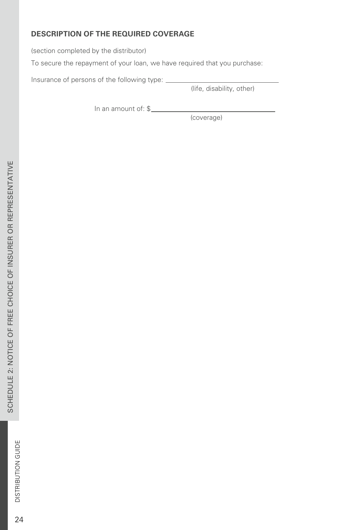## **DESCRIPTION OF THE REQUIRED COVERAGE**

(section completed by the distributor)

To secure the repayment of your loan, we have required that you purchase:

Insurance of persons of the following type:

(life, disability, other)

In an amount of: \$

(coverage)

24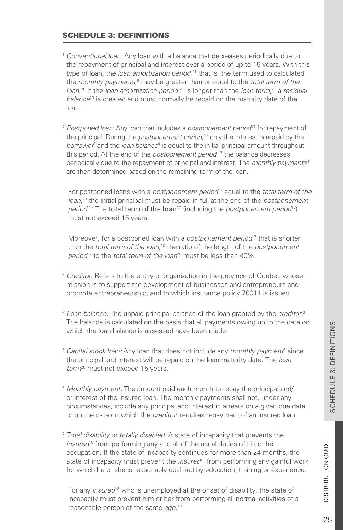## <span id="page-28-0"></span>SCHEDULE 3: DEFINITIONS

- <sup>1</sup> *Conventional loan:* Any loan with a balance that decreases periodically due to the repayment of principal and interest over a period of up to 15 years. With this type of loan, the *loan amortization period*,<sup>21</sup> that is, the term used to calculated the *monthly payments*,<sup>6</sup> may be greater than or equal to the *total term of the loan*.<sup>20</sup> If the *loan amortization period*<sup>21</sup> is longer than the *loan term*,<sup>20</sup> a *residual* balance<sup>23</sup> is created and must normally be repaid on the maturity date of the loan.
- <sup>2</sup> Postponed loan: Any loan that includes a *postponement period*<sup>17</sup> for repayment of the principal. During the *postponement period*,<sup>17</sup> only the interest is repaid by the borrower<sup>9</sup> and the *loan balance<sup>4</sup>* is equal to the initial principal amount throughout this period. At the end of the *postponement period*,<sup>17</sup> the balance decreases periodically due to the repayment of principal and interest. The *monthly payments* 6 are then determined based on the remaining term of the loan.

For postponed loans with a *postponement period*<sup>17</sup> equal to the *total term of the* loan,<sup>20</sup> the initial principal must be repaid in full at the end of the *postponement period.*<sup>17</sup> The **total term of the loan**<sup>20</sup> (including the *postponement period*<sup>17</sup>) must not exceed 15 years.

Moreover, for a postponed loan with a *postponement period*<sup>17</sup> that is shorter than the *total term of the loan*,<sup>20</sup> the ratio of the length of the *postponement period*<sup>17</sup> to the *total term of the loan*<sup>20</sup> must be less than 40%.

- <sup>3</sup> *Creditor:* Refers to the entity or organization in the province of Quebec whose mission is to support the development of businesses and entrepreneurs and promote entrepreneurship, and to which insurance policy 70011 is issued.
- <sup>4</sup> *Loan balance:* The unpaid principal balance of the loan granted by the *creditor*. 3 The balance is calculated on the basis that all payments owing up to the date on which the loan balance is assessed have been made.
- <sup>5</sup> Capital stock loan: Any loan that does not include any monthly payment<sup>6</sup> since the principal and interest will be repaid on the loan maturity date. The *loan*  term<sup>20</sup> must not exceed 15 years.
- <sup>6</sup> *Monthly payment:* The amount paid each month to repay the principal and/ or interest of the insured loan. The monthly payments shall not, under any circumstances, include any principal and interest in arrears on a given due date or on the date on which the *creditor*<sup>3</sup> requires repayment of an insured loan.
- <sup>7</sup> *Total disability or totally disabled:* A state of incapacity that prevents the insured<sup>18</sup> from performing any and all of the usual duties of his or her occupation. If the state of incapacity continues for more than 24 months, the state of incapacity must prevent the *insured*<sup>18</sup> from performing any gainful work for which he or she is reasonably qualified by education, training or experience.

For any *insured*<sup>18</sup> who is unemployed at the onset of disability, the state of incapacity must prevent him or her from performing all normal activities of a reasonable person of the same *age*. 19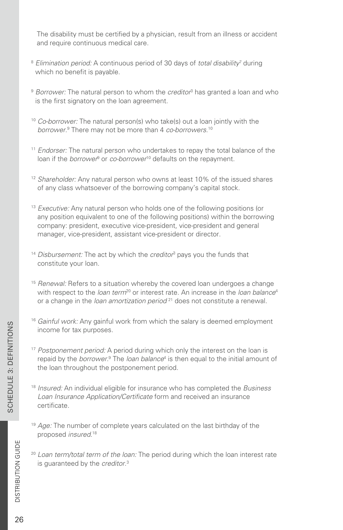The disability must be certified by a physician, result from an illness or accident and require continuous medical care.

- <sup>8</sup> Elimination period: A continuous period of 30 days of total disability<sup>7</sup> during which no benefit is payable.
- <sup>9</sup> Borrower: The natural person to whom the *creditor*<sup>3</sup> has granted a loan and who is the first signatory on the loan agreement.
- <sup>10</sup> *Co-borrower:* The natural person(s) who take(s) out a loan jointly with the borrower.<sup>9</sup> There may not be more than 4 *co-borrowers*.<sup>10</sup>
- <sup>11</sup> *Endorser:* The natural person who undertakes to repay the total balance of the loan if the *borrower<sup>9</sup>* or *co-borrower*<sup>10</sup> defaults on the repayment.
- <sup>12</sup> Shareholder: Any natural person who owns at least 10% of the issued shares of any class whatsoever of the borrowing company's capital stock.
- <sup>13</sup> *Executive:* Any natural person who holds one of the following positions (or any position equivalent to one of the following positions) within the borrowing company: president, executive vice-president, vice-president and general manager, vice-president, assistant vice-president or director.
- <sup>14</sup> Disbursement: The act by which the *creditor*<sup>3</sup> pays you the funds that constitute your loan.
- <sup>15</sup> *Renewal:* Refers to a situation whereby the covered loan undergoes a change with respect to the *loan term*<sup>20</sup> or interest rate. An increase in the *loan balance*<sup>4</sup> or a change in the *loan amortization period*<sup>21</sup> does not constitute a renewal.
- <sup>16</sup> *Gainful work:* Any gainful work from which the salary is deemed employment income for tax purposes.
- <sup>17</sup> *Postponement period:* A period during which only the interest on the loan is repaid by the *borrower*.<sup>9</sup> The *loan balance*<sup>4</sup> is then equal to the initial amount of the loan throughout the postponement period.
- <sup>18</sup> *Insured:* An individual eligible for insurance who has completed the *Business Loan Insurance Application/Certificate* form and received an insurance certificate.
- <sup>19</sup> *Age:* The number of complete years calculated on the last birthday of the proposed *insured*. 18
- <sup>20</sup> *Loan term/total term of the loan:* The period during which the loan interest rate is guaranteed by the *creditor*. 3